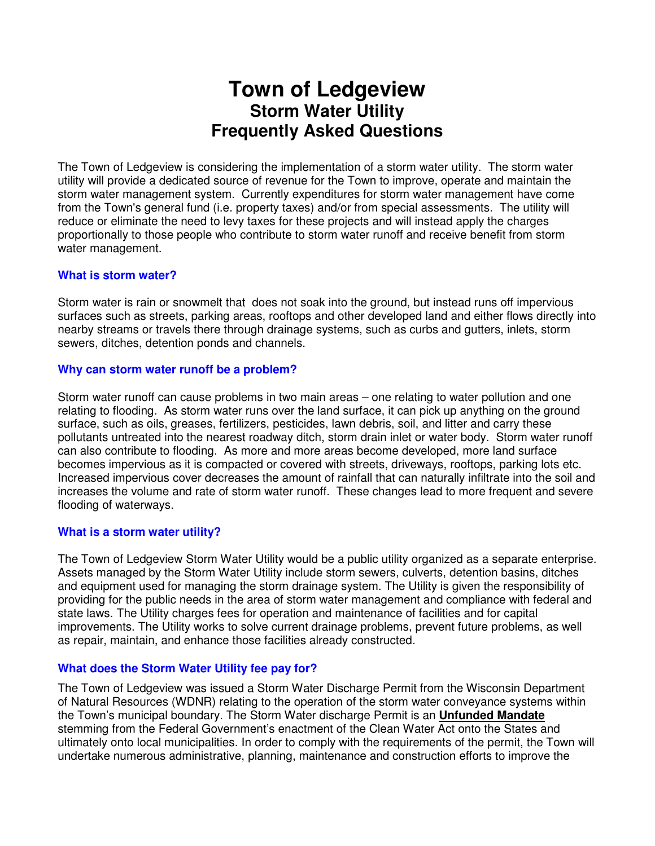# **Town of Ledgeview Storm Water Utility Frequently Asked Questions**

The Town of Ledgeview is considering the implementation of a storm water utility. The storm water utility will provide a dedicated source of revenue for the Town to improve, operate and maintain the storm water management system. Currently expenditures for storm water management have come from the Town's general fund (i.e. property taxes) and/or from special assessments. The utility will reduce or eliminate the need to levy taxes for these projects and will instead apply the charges proportionally to those people who contribute to storm water runoff and receive benefit from storm water management.

# **What is storm water?**

Storm water is rain or snowmelt that does not soak into the ground, but instead runs off impervious surfaces such as streets, parking areas, rooftops and other developed land and either flows directly into nearby streams or travels there through drainage systems, such as curbs and gutters, inlets, storm sewers, ditches, detention ponds and channels.

# **Why can storm water runoff be a problem?**

Storm water runoff can cause problems in two main areas – one relating to water pollution and one relating to flooding. As storm water runs over the land surface, it can pick up anything on the ground surface, such as oils, greases, fertilizers, pesticides, lawn debris, soil, and litter and carry these pollutants untreated into the nearest roadway ditch, storm drain inlet or water body. Storm water runoff can also contribute to flooding. As more and more areas become developed, more land surface becomes impervious as it is compacted or covered with streets, driveways, rooftops, parking lots etc. Increased impervious cover decreases the amount of rainfall that can naturally infiltrate into the soil and increases the volume and rate of storm water runoff. These changes lead to more frequent and severe flooding of waterways.

# **What is a storm water utility?**

The Town of Ledgeview Storm Water Utility would be a public utility organized as a separate enterprise. Assets managed by the Storm Water Utility include storm sewers, culverts, detention basins, ditches and equipment used for managing the storm drainage system. The Utility is given the responsibility of providing for the public needs in the area of storm water management and compliance with federal and state laws. The Utility charges fees for operation and maintenance of facilities and for capital improvements. The Utility works to solve current drainage problems, prevent future problems, as well as repair, maintain, and enhance those facilities already constructed.

# **What does the Storm Water Utility fee pay for?**

The Town of Ledgeview was issued a Storm Water Discharge Permit from the Wisconsin Department of Natural Resources (WDNR) relating to the operation of the storm water conveyance systems within the Town's municipal boundary. The Storm Water discharge Permit is an **Unfunded Mandate**  stemming from the Federal Government's enactment of the Clean Water Act onto the States and ultimately onto local municipalities. In order to comply with the requirements of the permit, the Town will undertake numerous administrative, planning, maintenance and construction efforts to improve the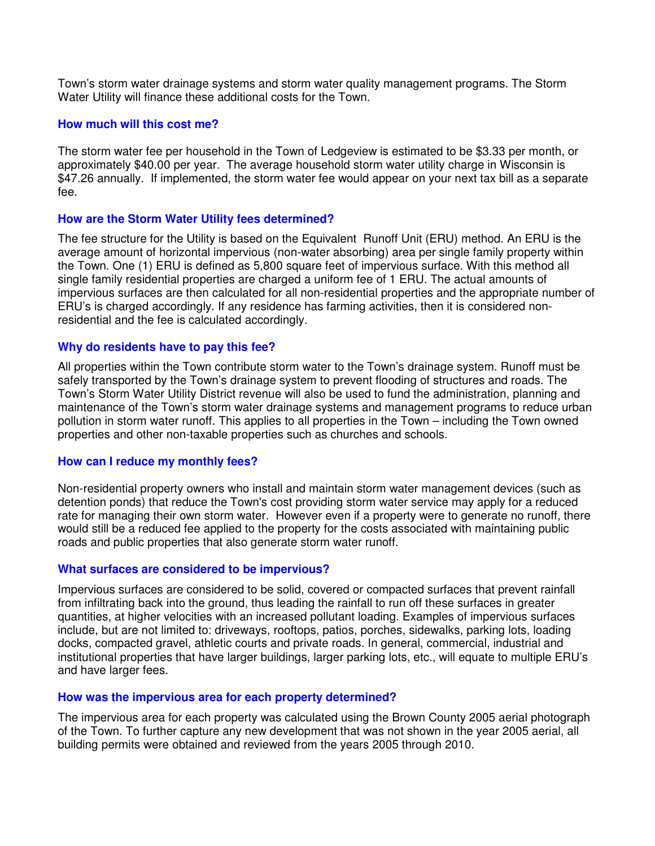Town's storm water drainage systems and storm water quality management programs. The Storm Water Utility will finance these additional costs for the Town.

## **How much will this cost me?**

The storm water fee per household in the Town of Ledgeview is estimated to be \$3.33 per month, or approximately \$40.00 per year. The average household storm water utility charge in Wisconsin is \$47.26 annually. If implemented, the storm water fee would appear on your next tax bill as a separate fee.

# **How are the Storm Water Utility fees determined?**

The fee structure for the Utility is based on the Equivalent Runoff Unit (ERU) method. An ERU is the average amount of horizontal impervious (non-water absorbing) area per single family property within the Town. One (1) ERU is defined as 5,800 square feet of impervious surface. With this method all single family residential properties are charged a uniform fee of 1 ERU. The actual amounts of impervious surfaces are then calculated for all non-residential properties and the appropriate number of ERU's is charged accordingly. If any residence has farming activities, then it is considered nonresidential and the fee is calculated accordingly.

## **Why do residents have to pay this fee?**

All properties within the Town contribute storm water to the Town's drainage system. Runoff must be safely transported by the Town's drainage system to prevent flooding of structures and roads. The Town's Storm Water Utility District revenue will also be used to fund the administration, planning and maintenance of the Town's storm water drainage systems and management programs to reduce urban pollution in storm water runoff. This applies to all properties in the Town – including the Town owned properties and other non-taxable properties such as churches and schools.

### **How can I reduce my monthly fees?**

Non-residential property owners who install and maintain storm water management devices (such as detention ponds) that reduce the Town's cost providing storm water service may apply for a reduced rate for managing their own storm water. However even if a property were to generate no runoff, there would still be a reduced fee applied to the property for the costs associated with maintaining public roads and public properties that also generate storm water runoff.

### **What surfaces are considered to be impervious?**

Impervious surfaces are considered to be solid, covered or compacted surfaces that prevent rainfall from infiltrating back into the ground, thus leading the rainfall to run off these surfaces in greater quantities, at higher velocities with an increased pollutant loading. Examples of impervious surfaces include, but are not limited to: driveways, rooftops, patios, porches, sidewalks, parking lots, loading docks, compacted gravel, athletic courts and private roads. In general, commercial, industrial and institutional properties that have larger buildings, larger parking lots, etc., will equate to multiple ERU's and have larger fees.

### **How was the impervious area for each property determined?**

The impervious area for each property was calculated using the Brown County 2005 aerial photograph of the Town. To further capture any new development that was not shown in the year 2005 aerial, all building permits were obtained and reviewed from the years 2005 through 2010.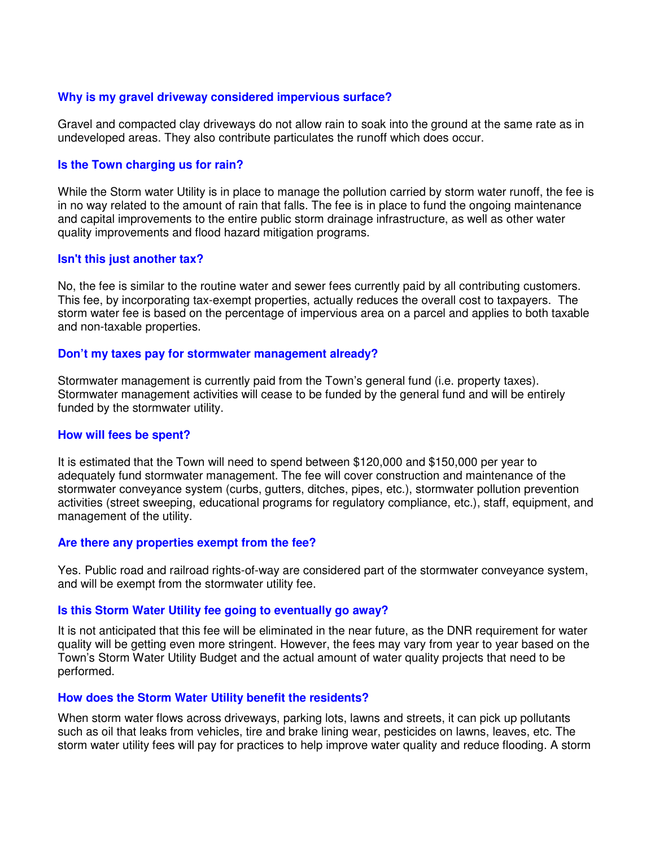## **Why is my gravel driveway considered impervious surface?**

Gravel and compacted clay driveways do not allow rain to soak into the ground at the same rate as in undeveloped areas. They also contribute particulates the runoff which does occur.

## **Is the Town charging us for rain?**

While the Storm water Utility is in place to manage the pollution carried by storm water runoff, the fee is in no way related to the amount of rain that falls. The fee is in place to fund the ongoing maintenance and capital improvements to the entire public storm drainage infrastructure, as well as other water quality improvements and flood hazard mitigation programs.

## **Isn't this just another tax?**

No, the fee is similar to the routine water and sewer fees currently paid by all contributing customers. This fee, by incorporating tax-exempt properties, actually reduces the overall cost to taxpayers. The storm water fee is based on the percentage of impervious area on a parcel and applies to both taxable and non-taxable properties.

### **Don't my taxes pay for stormwater management already?**

Stormwater management is currently paid from the Town's general fund (i.e. property taxes). Stormwater management activities will cease to be funded by the general fund and will be entirely funded by the stormwater utility.

### **How will fees be spent?**

It is estimated that the Town will need to spend between \$120,000 and \$150,000 per year to adequately fund stormwater management. The fee will cover construction and maintenance of the stormwater conveyance system (curbs, gutters, ditches, pipes, etc.), stormwater pollution prevention activities (street sweeping, educational programs for regulatory compliance, etc.), staff, equipment, and management of the utility.

### **Are there any properties exempt from the fee?**

Yes. Public road and railroad rights-of-way are considered part of the stormwater conveyance system, and will be exempt from the stormwater utility fee.

### **Is this Storm Water Utility fee going to eventually go away?**

It is not anticipated that this fee will be eliminated in the near future, as the DNR requirement for water quality will be getting even more stringent. However, the fees may vary from year to year based on the Town's Storm Water Utility Budget and the actual amount of water quality projects that need to be performed.

### **How does the Storm Water Utility benefit the residents?**

When storm water flows across driveways, parking lots, lawns and streets, it can pick up pollutants such as oil that leaks from vehicles, tire and brake lining wear, pesticides on lawns, leaves, etc. The storm water utility fees will pay for practices to help improve water quality and reduce flooding. A storm